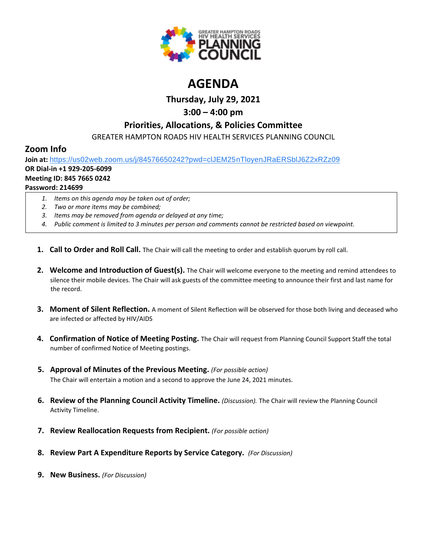

# **AGENDA**

**Thursday, July 29, 2021**

# **3:00 – 4:00 pm**

## **Priorities, Allocations, & Policies Committee**

GREATER HAMPTON ROADS HIV HEALTH SERVICES PLANNING COUNCIL

## **Zoom Info**

**Join at:** [https://us02web.zoom.us/j/84576650242?pwd=clJEM25nTloyenJRaERSblJ6Z2xRZz09](https://www.google.com/url?q=https://us02web.zoom.us/j/84576650242?pwd%3DclJEM25nTloyenJRaERSblJ6Z2xRZz09&sa=D&source=calendar&ust=1616595038982000&usg=AOvVaw3sK6cNtpF8kGuryyzK0Ew9)

## **OR Dial-in +1 929-205-6099**

**Meeting ID: 845 7665 0242**

### **Password: 214699**

- *1. Items on this agenda may be taken out of order;*
- *2. Two or more items may be combined;*
- *3. Items may be removed from agenda or delayed at any time;*
- *4. Public comment is limited to 3 minutes per person and comments cannot be restricted based on viewpoint.*
- **1. Call to Order and Roll Call.** The Chair will call the meeting to order and establish quorum by roll call.
- **2. Welcome and Introduction of Guest(s).** The Chair will welcome everyone to the meeting and remind attendees to silence their mobile devices. The Chair will ask guests of the committee meeting to announce their first and last name for the record.
- **3. Moment of Silent Reflection.** A moment of Silent Reflection will be observed for those both living and deceased who are infected or affected by HIV/AIDS
- **4. Confirmation of Notice of Meeting Posting.** The Chair will request from Planning Council Support Staff the total number of confirmed Notice of Meeting postings.
- **5. Approval of Minutes of the Previous Meeting.** *(For possible action)* The Chair will entertain a motion and a second to approve the June 24, 2021 minutes.
- **6. Review of the Planning Council Activity Timeline.** *(Discussion).* The Chair will review the Planning Council Activity Timeline.
- **7. Review Reallocation Requests from Recipient.** *(For possible action)*
- **8. Review Part A Expenditure Reports by Service Category.** *(For Discussion)*
- **9. New Business.** *(For Discussion)*